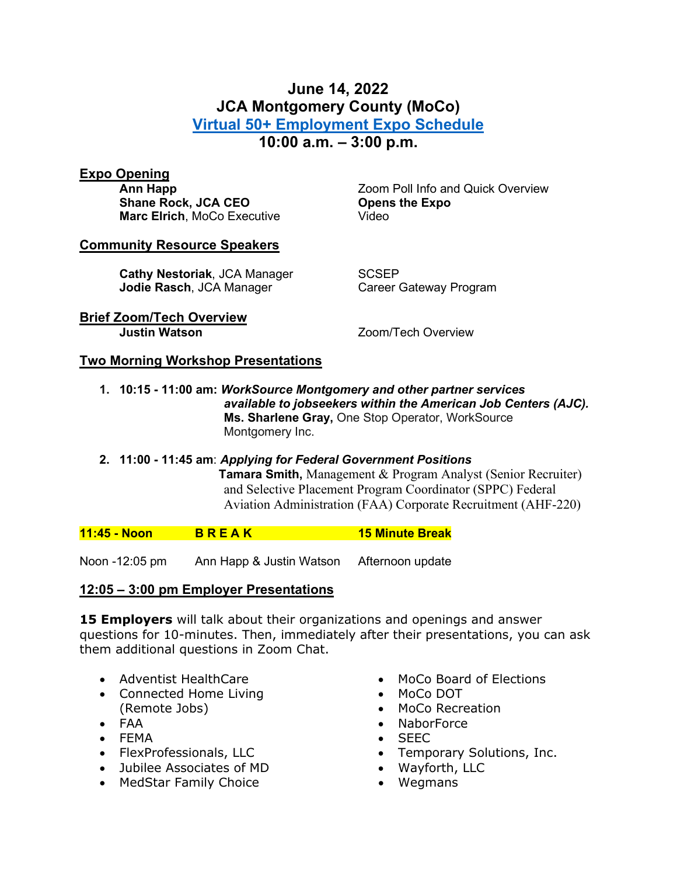### **June 14, 2022 JCA Montgomery County (MoCo) [Virtual 50+ Employment Expo Schedule](https://virtualexpos.accessjca.org/) 10:00 a.m. – 3:00 p.m.**

# **Expo Opening**

**Shane Rock, JCA CEO Marc Elrich**, MoCo Executive **Video** 

Zoom Poll Info and Quick Overview<br>**Opens the Expo** 

#### **Community Resource Speakers**

**Cathy Nestoriak**, JCA Manager SCSEP<br> **Jodie Rasch**, JCA Manager **Scales Calemand Career Gateway Program Jodie Rasch, JCA Manager** 

**Brief Zoom/Tech Overview**

**Zoom/Tech Overview** 

#### **Two Morning Workshop Presentations**

- **1. 10:15 - 11:00 am:** *WorkSource Montgomery and other partner services available to jobseekers within the American Job Centers (AJC).* **Ms. Sharlene Gray,** One Stop Operator, WorkSource Montgomery Inc.
- **2. 11:00 - 11:45 am**: *Applying for Federal Government Positions* **Tamara Smith,** Management & Program Analyst (Senior Recruiter) and Selective Placement Program Coordinator (SPPC) Federal Aviation Administration (FAA) Corporate Recruitment (AHF-220)

**11:45 - Noon B R E A K 15 Minute Break**

Noon -12:05 pm Ann Happ & Justin Watson Afternoon update

#### **12:05 – 3:00 pm Employer Presentations**

**15 Employers** will talk about their organizations and openings and answer questions for 10-minutes. Then, immediately after their presentations, you can ask them additional questions in Zoom Chat.

- Adventist HealthCare
- Connected Home Living (Remote Jobs)
- FAA
- FEMA
- FlexProfessionals, LLC
- Jubilee Associates of MD
- MedStar Family Choice
- MoCo Board of Elections
- MoCo DOT
- MoCo Recreation
- NaborForce
- SEEC
- Temporary Solutions, Inc.
- Wayforth, LLC
- Wegmans